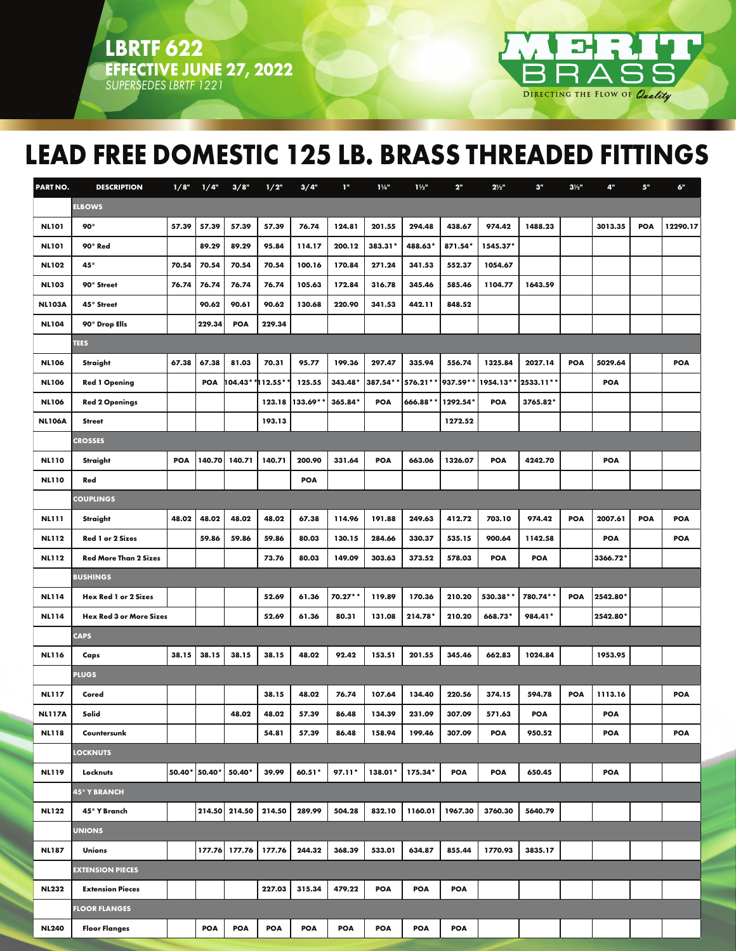## **LBRTF 622 EFFECTIVE JUNE 27, 2022** *SUPERSEDES LBRTF 1221*



## **LEAD FREE DOMESTIC 125 LB. BRASS THREADED FITTINGS**

| PART NO.      | <b>DESCRIPTION</b>             | 1/8"  | 1/4"          | 3/8"          | 1/2"   | 3/4"     | 1"      | $1\frac{1}{4}$ | $1\frac{1}{2}$ | 2 <sup>n</sup> | $2\frac{1}{2}$ | 3"       | $3\frac{1}{2}$ | 4"       | 5"  | 6"       |
|---------------|--------------------------------|-------|---------------|---------------|--------|----------|---------|----------------|----------------|----------------|----------------|----------|----------------|----------|-----|----------|
|               | <b>ELBOWS</b>                  |       |               |               |        |          |         |                |                |                |                |          |                |          |     |          |
| <b>NL101</b>  | 90°                            | 57.39 | 57.39         | 57.39         | 57.39  | 76.74    | 124.81  | 201.55         | 294,48         | 438.67         | 974.42         | 1488.23  |                | 3013.35  | POA | 12290.17 |
| <b>NL101</b>  | 90° Red                        |       | 89.29         | 89.29         | 95.84  | 114.17   | 200.12  | 383.31*        | 488.63*        | 871.54*        | 1545.37*       |          |                |          |     |          |
| <b>NL102</b>  | 45°                            | 70.54 | 70.54         | 70.54         | 70.54  | 100.16   | 170.84  | 271.24         | 341.53         | 552.37         | 1054.67        |          |                |          |     |          |
| <b>NL103</b>  | 90° Street                     | 76.74 | 76.74         | 76.74         | 76.74  | 105.63   | 172.84  | 316.78         | 345.46         | 585.46         | 1104.77        | 1643.59  |                |          |     |          |
| <b>NL103A</b> | 45° Street                     |       | 90.62         | 90.61         | 90.62  | 130.68   | 220.90  | 341.53         | 442.11         | 848.52         |                |          |                |          |     |          |
| <b>NL104</b>  | 90° Drop Ells                  |       | 229.34        | POA           | 229.34 |          |         |                |                |                |                |          |                |          |     |          |
|               | <b>TEES</b>                    |       |               |               |        |          |         |                |                |                |                |          |                |          |     |          |
| <b>NL106</b>  | Straight                       | 67.38 | 67.38         | 81.03         | 70.31  | 95.77    | 199.36  | 297.47         | 335.94         | 556.74         | 1325.84        | 2027.14  | POA            | 5029.64  |     | POA      |
| <b>NL106</b>  | <b>Red 1 Opening</b>           |       | POA           | 104.43*       | 112.55 | 125.55   | 343.48* | 387.54*        | 576.21**       | 937.59**       | 1954.13**      | 2533.11* |                | POA      |     |          |
| <b>NL106</b>  | <b>Red 2 Openings</b>          |       |               |               | 123.18 | 133.69** | 365.84* | POA            | 666.88*        | 1292.54        | POA            | 3765.82* |                |          |     |          |
| <b>NL106A</b> | <b>Street</b>                  |       |               |               | 193.13 |          |         |                |                | 1272.52        |                |          |                |          |     |          |
|               | <b>CROSSES</b>                 |       |               |               |        |          |         |                |                |                |                |          |                |          |     |          |
| <b>NL110</b>  | Straight                       | POA   | 140.70        | 140.71        | 140.71 | 200.90   | 331.64  | POA            | 663.06         | 1326.07        | POA            | 4242.70  |                | POA      |     |          |
| <b>NL110</b>  | Red                            |       |               |               |        | POA      |         |                |                |                |                |          |                |          |     |          |
|               | <b>COUPLINGS</b>               |       |               |               |        |          |         |                |                |                |                |          |                |          |     |          |
| <b>NL111</b>  | Straight                       | 48.02 | 48.02         | 48.02         | 48.02  | 67.38    | 114.96  | 191.88         | 249.63         | 412.72         | 703.10         | 974.42   | POA            | 2007.61  | POA | POA      |
| <b>NL112</b>  | Red 1 or 2 Sizes               |       | 59.86         | 59.86         | 59.86  | 80.03    | 130.15  | 284.66         | 330.37         | 535.15         | 900.64         | 1142.58  |                | POA      |     | POA      |
| <b>NL112</b>  | <b>Red More Than 2 Sizes</b>   |       |               |               | 73.76  | 80.03    | 149.09  | 303.63         | 373.52         | 578.03         | POA            | POA      |                | 3366.72* |     |          |
|               | <b>BUSHINGS</b>                |       |               |               |        |          |         |                |                |                |                |          |                |          |     |          |
| <b>NL114</b>  | Hex Red 1 or 2 Sizes           |       |               |               | 52.69  | 61.36    | 70.27** | 119.89         | 170.36         | 210.20         | 530.38**       | 780.74** | POA            | 2542.80* |     |          |
| <b>NL114</b>  | <b>Hex Red 3 or More Sizes</b> |       |               |               | 52.69  | 61.36    | 80.31   | 131.08         | 214.78*        | 210.20         | 668.73*        | 984.41*  |                | 2542.80* |     |          |
|               | <b>CAPS</b>                    |       |               |               |        |          |         |                |                |                |                |          |                |          |     |          |
| <b>NL116</b>  | Caps                           | 38.15 | 38.15         | 38.15         | 38.15  | 48.02    | 92.42   | 153.51         | 201.55         | 345.46         | 662.83         | 1024.84  |                | 1953.95  |     |          |
|               | <b>PLUGS</b>                   |       |               |               |        |          |         |                |                |                |                |          |                |          |     |          |
| <b>NL117</b>  | Cored                          |       |               |               | 38.15  | 48.02    | 76.74   | 107.64         | 134.40         | 220.56         | 374.15         | 594.78   | POA            | 1113.16  |     | POA      |
| <b>NL117A</b> | Solid                          |       |               | 48.02         | 48.02  | 57.39    | 86.48   | 134.39         | 231.09         | 307.09         | 571.63         | POA      |                | POA      |     |          |
| <b>NL118</b>  | Countersunk                    |       |               |               | 54.81  | 57.39    | 86.48   | 158.94         | 199.46         | 307.09         | POA            | 950.52   |                | POA      |     | POA      |
|               | <b>LOCKNUTS</b>                |       |               |               |        |          |         |                |                |                |                |          |                |          |     |          |
| <b>NL119</b>  | Locknuts                       |       | 50.40* 50.40* | 50.40*        | 39.99  | 60.51*   | 97.11*  | 138.01*        | 175.34*        | POA            | POA            | 650.45   |                | POA      |     |          |
|               | <b>45° Y BRANCH</b>            |       |               |               |        |          |         |                |                |                |                |          |                |          |     |          |
| <b>NL122</b>  | 45° Y Branch                   |       |               | 214.50 214.50 | 214.50 | 289.99   | 504.28  | 832.10         | 1160.01        | 1967.30        | 3760.30        | 5640.79  |                |          |     |          |
|               | <b>UNIONS</b>                  |       |               |               |        |          |         |                |                |                |                |          |                |          |     |          |
| <b>NL187</b>  | Unions                         |       |               | 177.76 177.76 | 177.76 | 244.32   | 368.39  | 533.01         | 634.87         | 855.44         | 1770.93        | 3835.17  |                |          |     |          |
|               | <b>EXTENSION PIECES</b>        |       |               |               |        |          |         |                |                |                |                |          |                |          |     |          |
| <b>NL232</b>  | <b>Extension Pieces</b>        |       |               |               | 227.03 | 315.34   | 479.22  | POA            | POA            | POA            |                |          |                |          |     |          |
|               | <b>FLOOR FLANGES</b>           |       |               |               |        |          |         |                |                |                |                |          |                |          |     |          |
| <b>NL240</b>  | <b>Floor Flanges</b>           |       | POA           | POA           | POA    | POA      | POA     | POA            | POA            | POA            |                |          |                |          |     |          |